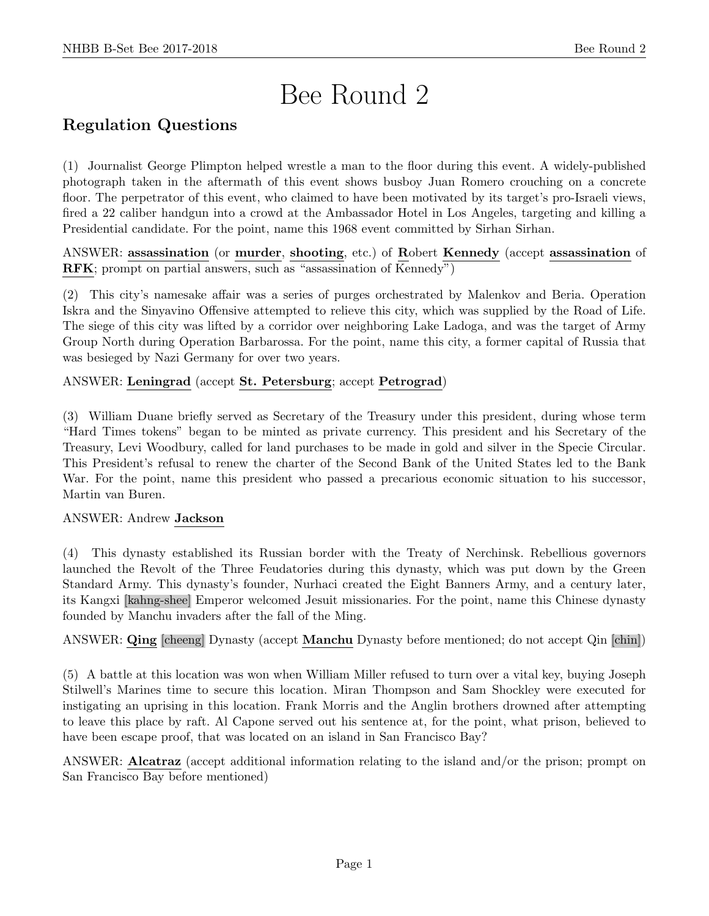# Bee Round 2

# Regulation Questions

(1) Journalist George Plimpton helped wrestle a man to the floor during this event. A widely-published photograph taken in the aftermath of this event shows busboy Juan Romero crouching on a concrete floor. The perpetrator of this event, who claimed to have been motivated by its target's pro-Israeli views, fired a 22 caliber handgun into a crowd at the Ambassador Hotel in Los Angeles, targeting and killing a Presidential candidate. For the point, name this 1968 event committed by Sirhan Sirhan.

ANSWER: assassination (or murder, shooting, etc.) of Robert Kennedy (accept assassination of RFK; prompt on partial answers, such as "assassination of Kennedy")

(2) This city's namesake affair was a series of purges orchestrated by Malenkov and Beria. Operation Iskra and the Sinyavino Offensive attempted to relieve this city, which was supplied by the Road of Life. The siege of this city was lifted by a corridor over neighboring Lake Ladoga, and was the target of Army Group North during Operation Barbarossa. For the point, name this city, a former capital of Russia that was besieged by Nazi Germany for over two years.

# ANSWER: Leningrad (accept St. Petersburg; accept Petrograd)

(3) William Duane briefly served as Secretary of the Treasury under this president, during whose term "Hard Times tokens" began to be minted as private currency. This president and his Secretary of the Treasury, Levi Woodbury, called for land purchases to be made in gold and silver in the Specie Circular. This President's refusal to renew the charter of the Second Bank of the United States led to the Bank War. For the point, name this president who passed a precarious economic situation to his successor, Martin van Buren.

# ANSWER: Andrew Jackson

(4) This dynasty established its Russian border with the Treaty of Nerchinsk. Rebellious governors launched the Revolt of the Three Feudatories during this dynasty, which was put down by the Green Standard Army. This dynasty's founder, Nurhaci created the Eight Banners Army, and a century later, its Kangxi [kahng-shee] Emperor welcomed Jesuit missionaries. For the point, name this Chinese dynasty founded by Manchu invaders after the fall of the Ming.

ANSWER: Qing [cheeng] Dynasty (accept Manchu Dynasty before mentioned; do not accept Qin [chin])

(5) A battle at this location was won when William Miller refused to turn over a vital key, buying Joseph Stilwell's Marines time to secure this location. Miran Thompson and Sam Shockley were executed for instigating an uprising in this location. Frank Morris and the Anglin brothers drowned after attempting to leave this place by raft. Al Capone served out his sentence at, for the point, what prison, believed to have been escape proof, that was located on an island in San Francisco Bay?

ANSWER: Alcatraz (accept additional information relating to the island and/or the prison; prompt on San Francisco Bay before mentioned)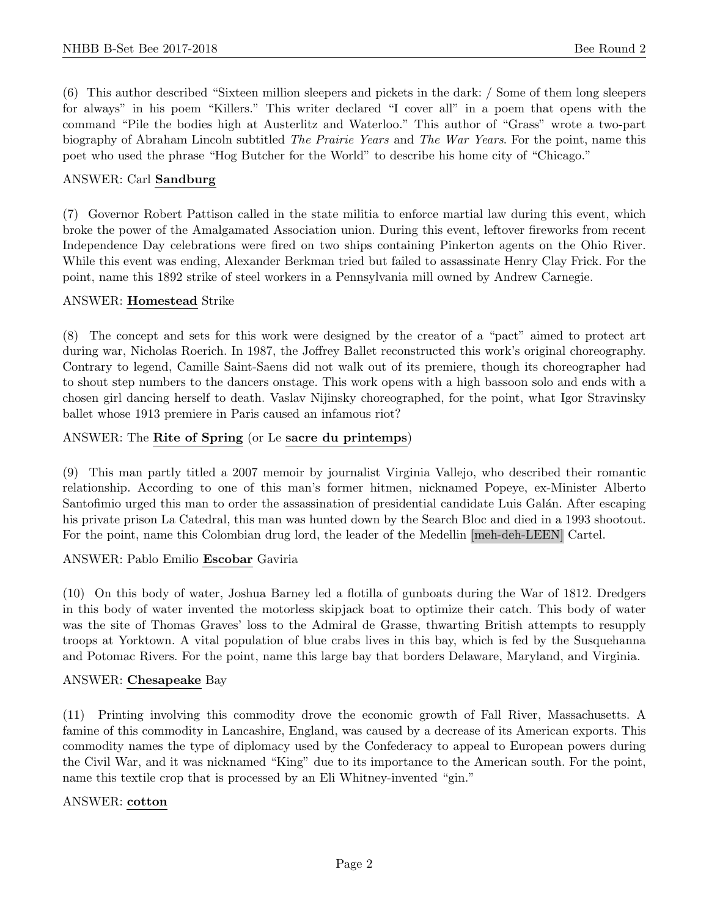(6) This author described "Sixteen million sleepers and pickets in the dark: / Some of them long sleepers for always" in his poem "Killers." This writer declared "I cover all" in a poem that opens with the command "Pile the bodies high at Austerlitz and Waterloo." This author of "Grass" wrote a two-part biography of Abraham Lincoln subtitled The Prairie Years and The War Years. For the point, name this poet who used the phrase "Hog Butcher for the World" to describe his home city of "Chicago."

#### ANSWER: Carl Sandburg

(7) Governor Robert Pattison called in the state militia to enforce martial law during this event, which broke the power of the Amalgamated Association union. During this event, leftover fireworks from recent Independence Day celebrations were fired on two ships containing Pinkerton agents on the Ohio River. While this event was ending, Alexander Berkman tried but failed to assassinate Henry Clay Frick. For the point, name this 1892 strike of steel workers in a Pennsylvania mill owned by Andrew Carnegie.

#### ANSWER: Homestead Strike

(8) The concept and sets for this work were designed by the creator of a "pact" aimed to protect art during war, Nicholas Roerich. In 1987, the Joffrey Ballet reconstructed this work's original choreography. Contrary to legend, Camille Saint-Saens did not walk out of its premiere, though its choreographer had to shout step numbers to the dancers onstage. This work opens with a high bassoon solo and ends with a chosen girl dancing herself to death. Vaslav Nijinsky choreographed, for the point, what Igor Stravinsky ballet whose 1913 premiere in Paris caused an infamous riot?

## ANSWER: The Rite of Spring (or Le sacre du printemps)

(9) This man partly titled a 2007 memoir by journalist Virginia Vallejo, who described their romantic relationship. According to one of this man's former hitmen, nicknamed Popeye, ex-Minister Alberto Santofimio urged this man to order the assassination of presidential candidate Luis Galán. After escaping his private prison La Catedral, this man was hunted down by the Search Bloc and died in a 1993 shootout. For the point, name this Colombian drug lord, the leader of the Medellin [meh-deh-LEEN] Cartel.

#### ANSWER: Pablo Emilio Escobar Gaviria

(10) On this body of water, Joshua Barney led a flotilla of gunboats during the War of 1812. Dredgers in this body of water invented the motorless skipjack boat to optimize their catch. This body of water was the site of Thomas Graves' loss to the Admiral de Grasse, thwarting British attempts to resupply troops at Yorktown. A vital population of blue crabs lives in this bay, which is fed by the Susquehanna and Potomac Rivers. For the point, name this large bay that borders Delaware, Maryland, and Virginia.

#### ANSWER: Chesapeake Bay

(11) Printing involving this commodity drove the economic growth of Fall River, Massachusetts. A famine of this commodity in Lancashire, England, was caused by a decrease of its American exports. This commodity names the type of diplomacy used by the Confederacy to appeal to European powers during the Civil War, and it was nicknamed "King" due to its importance to the American south. For the point, name this textile crop that is processed by an Eli Whitney-invented "gin."

#### ANSWER: cotton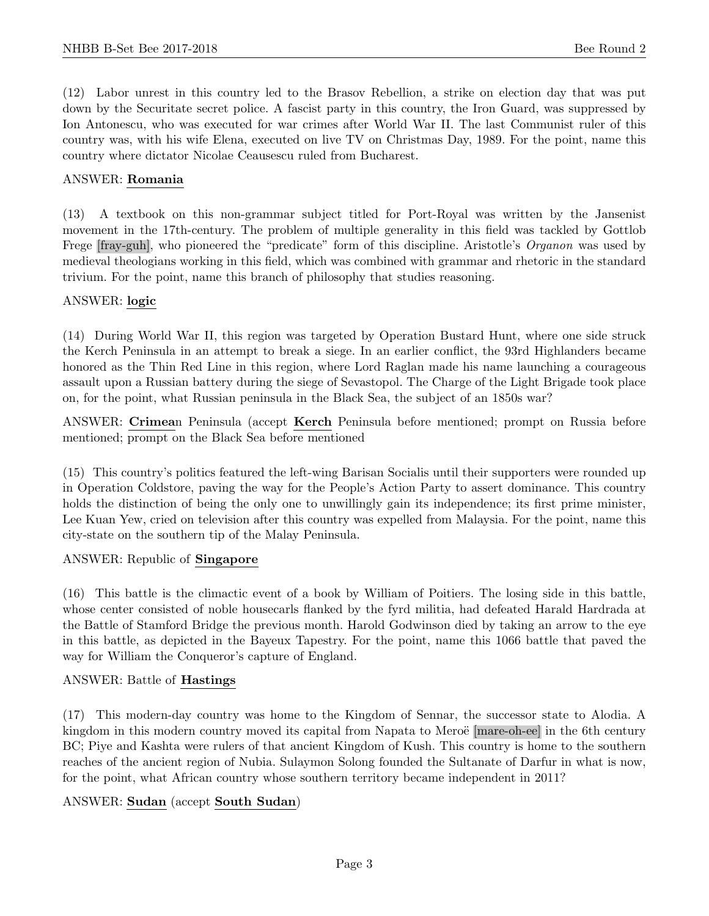(12) Labor unrest in this country led to the Brasov Rebellion, a strike on election day that was put down by the Securitate secret police. A fascist party in this country, the Iron Guard, was suppressed by Ion Antonescu, who was executed for war crimes after World War II. The last Communist ruler of this country was, with his wife Elena, executed on live TV on Christmas Day, 1989. For the point, name this country where dictator Nicolae Ceausescu ruled from Bucharest.

#### ANSWER: Romania

(13) A textbook on this non-grammar subject titled for Port-Royal was written by the Jansenist movement in the 17th-century. The problem of multiple generality in this field was tackled by Gottlob Frege [fray-guh], who pioneered the "predicate" form of this discipline. Aristotle's *Organon* was used by medieval theologians working in this field, which was combined with grammar and rhetoric in the standard trivium. For the point, name this branch of philosophy that studies reasoning.

## ANSWER: logic

(14) During World War II, this region was targeted by Operation Bustard Hunt, where one side struck the Kerch Peninsula in an attempt to break a siege. In an earlier conflict, the 93rd Highlanders became honored as the Thin Red Line in this region, where Lord Raglan made his name launching a courageous assault upon a Russian battery during the siege of Sevastopol. The Charge of the Light Brigade took place on, for the point, what Russian peninsula in the Black Sea, the subject of an 1850s war?

ANSWER: Crimean Peninsula (accept Kerch Peninsula before mentioned; prompt on Russia before mentioned; prompt on the Black Sea before mentioned

(15) This country's politics featured the left-wing Barisan Socialis until their supporters were rounded up in Operation Coldstore, paving the way for the People's Action Party to assert dominance. This country holds the distinction of being the only one to unwillingly gain its independence; its first prime minister, Lee Kuan Yew, cried on television after this country was expelled from Malaysia. For the point, name this city-state on the southern tip of the Malay Peninsula.

#### ANSWER: Republic of Singapore

(16) This battle is the climactic event of a book by William of Poitiers. The losing side in this battle, whose center consisted of noble housecarls flanked by the fyrd militia, had defeated Harald Hardrada at the Battle of Stamford Bridge the previous month. Harold Godwinson died by taking an arrow to the eye in this battle, as depicted in the Bayeux Tapestry. For the point, name this 1066 battle that paved the way for William the Conqueror's capture of England.

#### ANSWER: Battle of Hastings

(17) This modern-day country was home to the Kingdom of Sennar, the successor state to Alodia. A kingdom in this modern country moved its capital from Napata to Meroë [mare-oh-ee] in the 6th century BC; Piye and Kashta were rulers of that ancient Kingdom of Kush. This country is home to the southern reaches of the ancient region of Nubia. Sulaymon Solong founded the Sultanate of Darfur in what is now, for the point, what African country whose southern territory became independent in 2011?

# ANSWER: Sudan (accept South Sudan)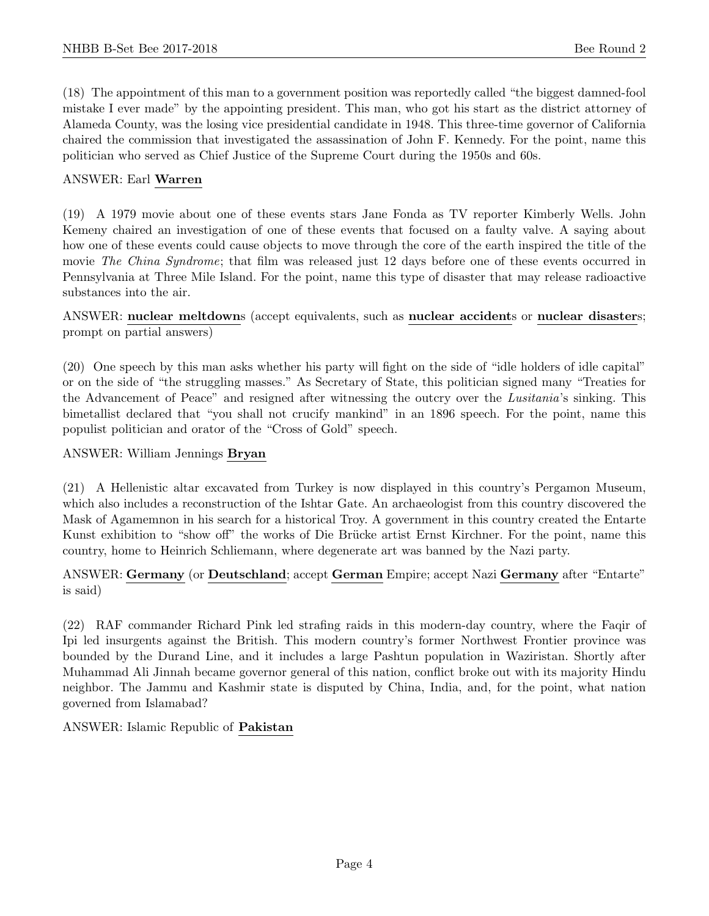(18) The appointment of this man to a government position was reportedly called "the biggest damned-fool mistake I ever made" by the appointing president. This man, who got his start as the district attorney of Alameda County, was the losing vice presidential candidate in 1948. This three-time governor of California chaired the commission that investigated the assassination of John F. Kennedy. For the point, name this politician who served as Chief Justice of the Supreme Court during the 1950s and 60s.

#### ANSWER: Earl Warren

(19) A 1979 movie about one of these events stars Jane Fonda as TV reporter Kimberly Wells. John Kemeny chaired an investigation of one of these events that focused on a faulty valve. A saying about how one of these events could cause objects to move through the core of the earth inspired the title of the movie The China Syndrome; that film was released just 12 days before one of these events occurred in Pennsylvania at Three Mile Island. For the point, name this type of disaster that may release radioactive substances into the air.

ANSWER: nuclear meltdowns (accept equivalents, such as nuclear accidents or nuclear disasters; prompt on partial answers)

(20) One speech by this man asks whether his party will fight on the side of "idle holders of idle capital" or on the side of "the struggling masses." As Secretary of State, this politician signed many "Treaties for the Advancement of Peace" and resigned after witnessing the outcry over the Lusitania's sinking. This bimetallist declared that "you shall not crucify mankind" in an 1896 speech. For the point, name this populist politician and orator of the "Cross of Gold" speech.

#### ANSWER: William Jennings Bryan

(21) A Hellenistic altar excavated from Turkey is now displayed in this country's Pergamon Museum, which also includes a reconstruction of the Ishtar Gate. An archaeologist from this country discovered the Mask of Agamemnon in his search for a historical Troy. A government in this country created the Entarte Kunst exhibition to "show off" the works of Die Brücke artist Ernst Kirchner. For the point, name this country, home to Heinrich Schliemann, where degenerate art was banned by the Nazi party.

# ANSWER: Germany (or Deutschland; accept German Empire; accept Nazi Germany after "Entarte" is said)

(22) RAF commander Richard Pink led strafing raids in this modern-day country, where the Faqir of Ipi led insurgents against the British. This modern country's former Northwest Frontier province was bounded by the Durand Line, and it includes a large Pashtun population in Waziristan. Shortly after Muhammad Ali Jinnah became governor general of this nation, conflict broke out with its majority Hindu neighbor. The Jammu and Kashmir state is disputed by China, India, and, for the point, what nation governed from Islamabad?

ANSWER: Islamic Republic of Pakistan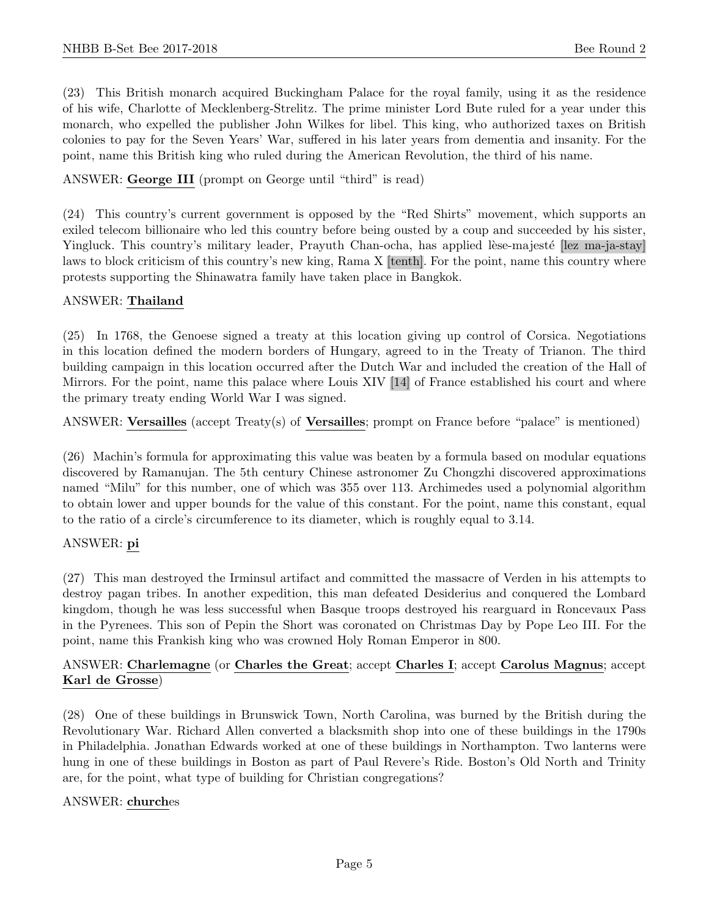(23) This British monarch acquired Buckingham Palace for the royal family, using it as the residence of his wife, Charlotte of Mecklenberg-Strelitz. The prime minister Lord Bute ruled for a year under this monarch, who expelled the publisher John Wilkes for libel. This king, who authorized taxes on British colonies to pay for the Seven Years' War, suffered in his later years from dementia and insanity. For the point, name this British king who ruled during the American Revolution, the third of his name.

ANSWER: George III (prompt on George until "third" is read)

(24) This country's current government is opposed by the "Red Shirts" movement, which supports an exiled telecom billionaire who led this country before being ousted by a coup and succeeded by his sister, Yingluck. This country's military leader, Prayuth Chan-ocha, has applied lèse-majesté [lez ma-ja-stay] laws to block criticism of this country's new king, Rama X [tenth]. For the point, name this country where protests supporting the Shinawatra family have taken place in Bangkok.

## ANSWER: Thailand

(25) In 1768, the Genoese signed a treaty at this location giving up control of Corsica. Negotiations in this location defined the modern borders of Hungary, agreed to in the Treaty of Trianon. The third building campaign in this location occurred after the Dutch War and included the creation of the Hall of Mirrors. For the point, name this palace where Louis XIV [14] of France established his court and where the primary treaty ending World War I was signed.

ANSWER: Versailles (accept Treaty(s) of Versailles; prompt on France before "palace" is mentioned)

(26) Machin's formula for approximating this value was beaten by a formula based on modular equations discovered by Ramanujan. The 5th century Chinese astronomer Zu Chongzhi discovered approximations named "Milu" for this number, one of which was 355 over 113. Archimedes used a polynomial algorithm to obtain lower and upper bounds for the value of this constant. For the point, name this constant, equal to the ratio of a circle's circumference to its diameter, which is roughly equal to 3.14.

# ANSWER: pi

(27) This man destroyed the Irminsul artifact and committed the massacre of Verden in his attempts to destroy pagan tribes. In another expedition, this man defeated Desiderius and conquered the Lombard kingdom, though he was less successful when Basque troops destroyed his rearguard in Roncevaux Pass in the Pyrenees. This son of Pepin the Short was coronated on Christmas Day by Pope Leo III. For the point, name this Frankish king who was crowned Holy Roman Emperor in 800.

# ANSWER: Charlemagne (or Charles the Great; accept Charles I; accept Carolus Magnus; accept Karl de Grosse)

(28) One of these buildings in Brunswick Town, North Carolina, was burned by the British during the Revolutionary War. Richard Allen converted a blacksmith shop into one of these buildings in the 1790s in Philadelphia. Jonathan Edwards worked at one of these buildings in Northampton. Two lanterns were hung in one of these buildings in Boston as part of Paul Revere's Ride. Boston's Old North and Trinity are, for the point, what type of building for Christian congregations?

#### ANSWER: churches